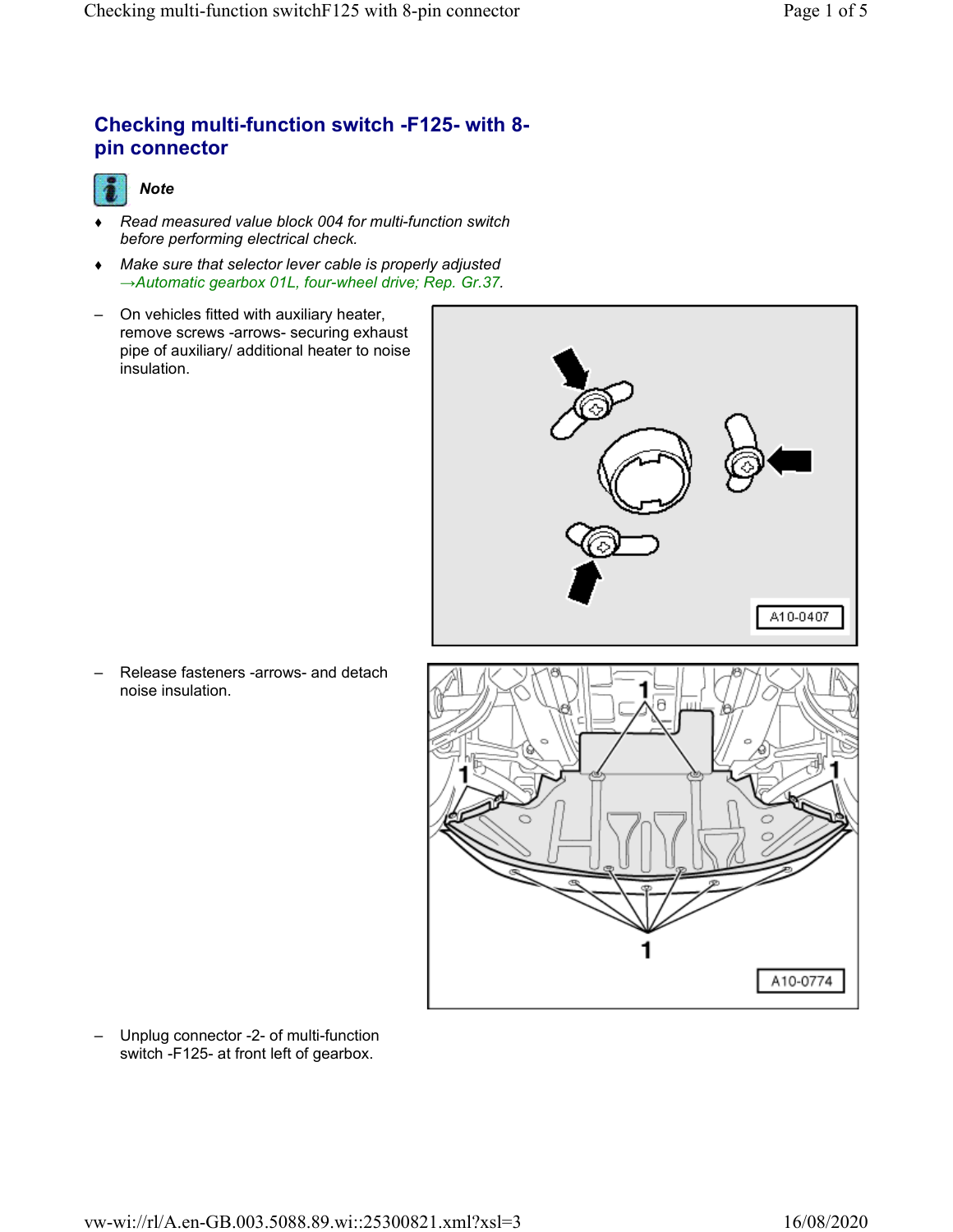# **Checking multi-function switch -F125- with 8 pin connector**



- *Read measured value block 004 for multi-function switch before performing electrical check.*
- *Make sure that selector lever cable is properly adjusted →Automatic gearbox 01L, four-wheel drive; Rep. Gr.37.*
- On vehicles fitted with auxiliary heater, remove screws -arrows- securing exhaust pipe of auxiliary/ additional heater to noise insulation.



– Release fasteners -arrows- and detach noise insulation.



– Unplug connector -2- of multi-function switch -F125- at front left of gearbox.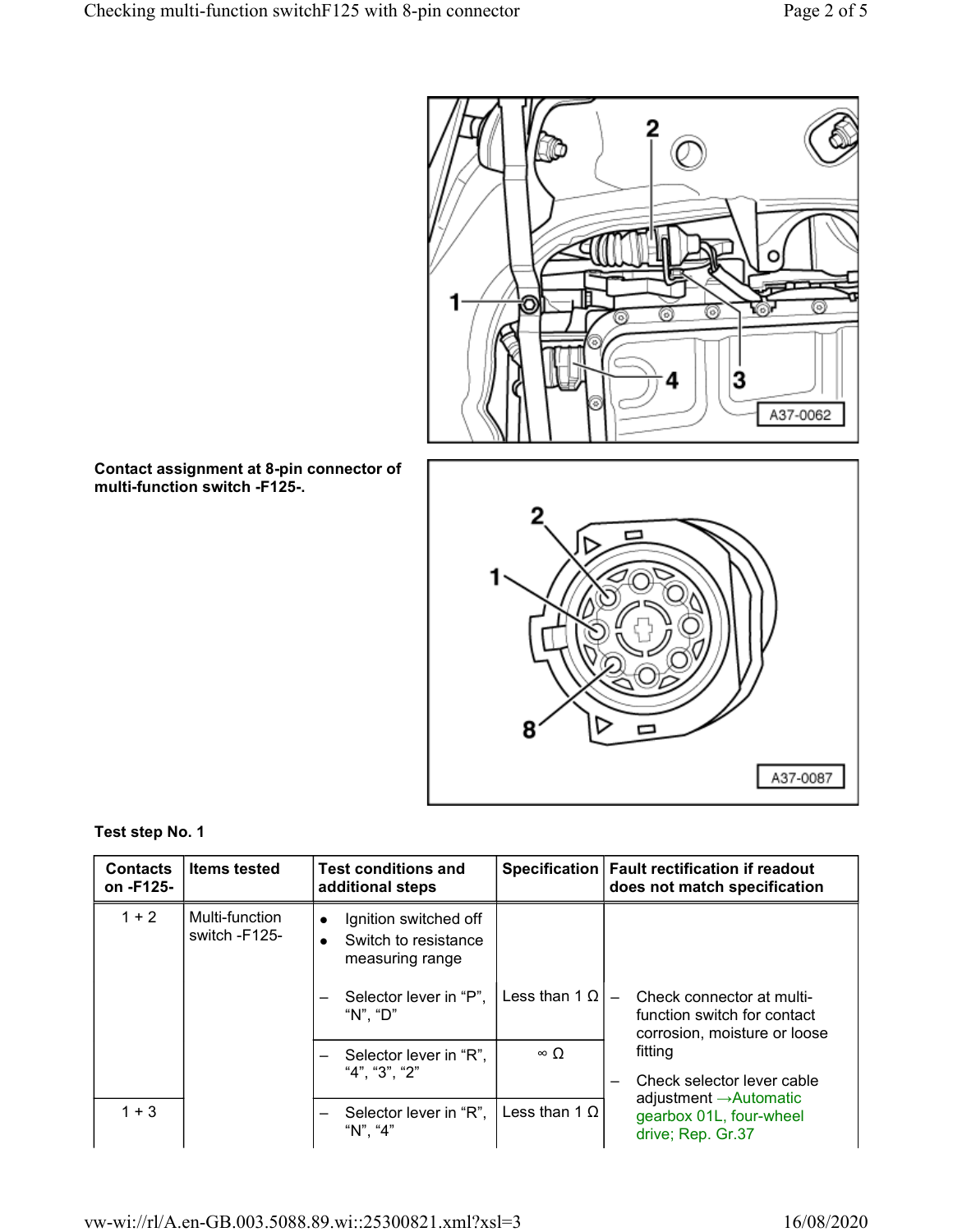

**Contact assignment at 8-pin connector of multi-function switch -F125-.**



### **Test step No. 1**

| <b>Contacts</b><br>on -F125- | <b>Items tested</b>             | <b>Test conditions and</b><br>additional steps                                             |                      | Specification   Fault rectification if readout<br>does not match specification           |
|------------------------------|---------------------------------|--------------------------------------------------------------------------------------------|----------------------|------------------------------------------------------------------------------------------|
| $1 + 2$                      | Multi-function<br>switch -F125- | Ignition switched off<br>$\bullet$<br>Switch to resistance<br>$\bullet$<br>measuring range |                      |                                                                                          |
|                              |                                 | Selector lever in "P",<br>"N", "D"                                                         | Less than 1 $\Omega$ | Check connector at multi-<br>function switch for contact<br>corrosion, moisture or loose |
|                              |                                 | Selector lever in "R",<br>$\overline{\phantom{0}}$<br>"4". "3". "2"                        | $\infty$ O           | fitting<br>Check selector lever cable                                                    |
| $1 + 3$                      |                                 | Selector lever in "R",  <br>—<br>"N". "4"                                                  | Less than $1 \Omega$ | adjustment $\rightarrow$ Automatic<br>gearbox 01L, four-wheel<br>drive; Rep. Gr.37       |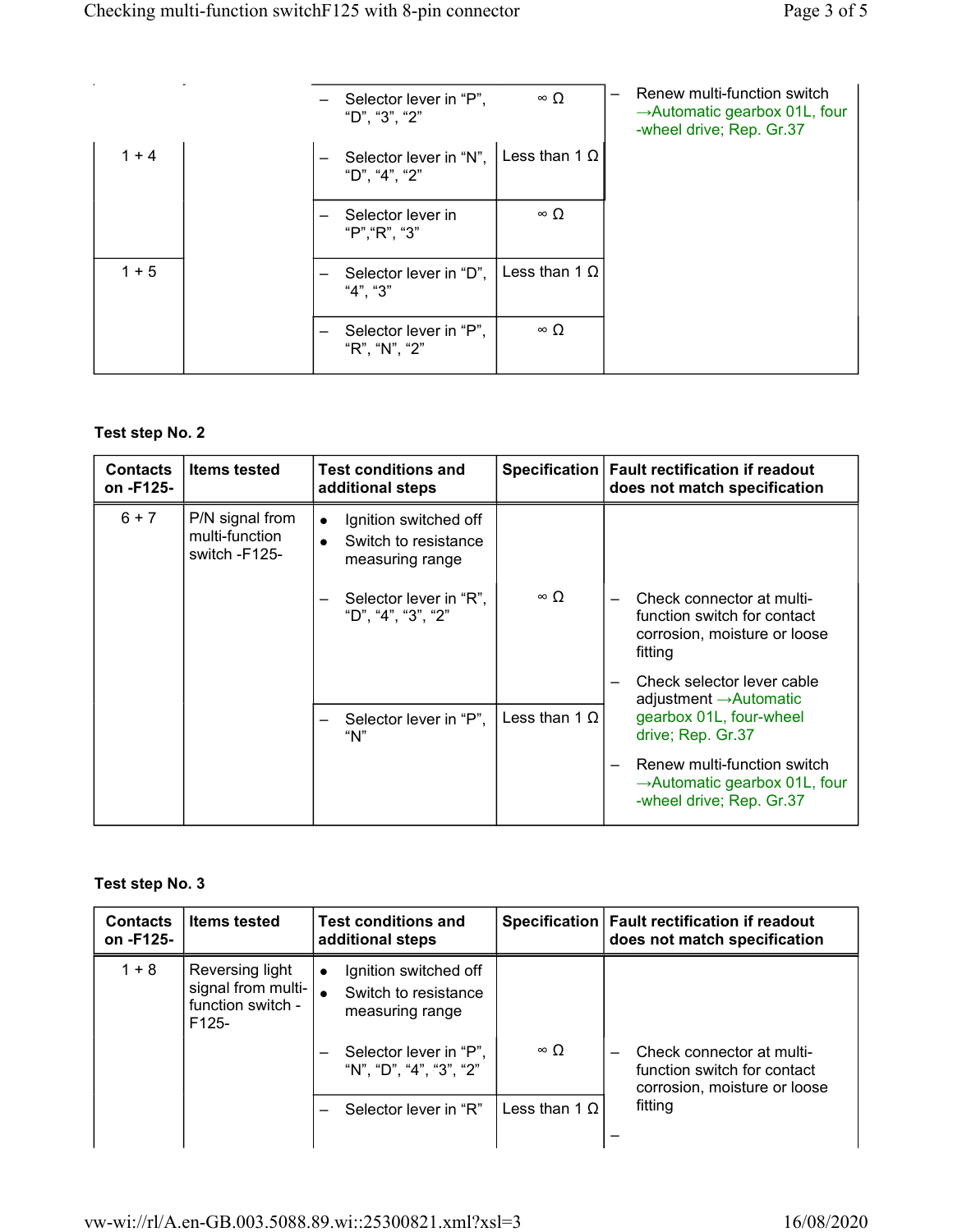|         |  | Selector lever in "P",<br>"D", "3", "2" | $\infty$ $\Omega$    | Renew multi-function switch<br>$\rightarrow$ Automatic gearbox 01L, four<br>-wheel drive; Rep. Gr.37 |
|---------|--|-----------------------------------------|----------------------|------------------------------------------------------------------------------------------------------|
| $1 + 4$ |  | Selector lever in "N",<br>"D", "4", "2" | Less than 1 $\Omega$ |                                                                                                      |
|         |  | Selector lever in<br>"P", "R", "3"      | $\infty$ $\Omega$    |                                                                                                      |
| $1 + 5$ |  | Selector lever in "D",<br>"4". "3"      | Less than 1 $\Omega$ |                                                                                                      |
|         |  | Selector lever in "P",<br>"R", "N", "2" | $\infty$ $\Omega$    |                                                                                                      |

## **Test step No. 2**

| <b>Contacts</b><br>on -F125- | <b>Items tested</b>                                | <b>Test conditions and</b><br>additional steps                                |                      | Specification   Fault rectification if readout<br>does not match specification                       |
|------------------------------|----------------------------------------------------|-------------------------------------------------------------------------------|----------------------|------------------------------------------------------------------------------------------------------|
| $6 + 7$                      | P/N signal from<br>multi-function<br>switch -F125- | Ignition switched off<br>$\bullet$<br>Switch to resistance<br>measuring range |                      |                                                                                                      |
|                              |                                                    | Selector lever in "R",<br>"D", "4", "3", "2"                                  | $\infty$ $\Omega$    | Check connector at multi-<br>function switch for contact<br>corrosion, moisture or loose<br>fitting  |
|                              |                                                    |                                                                               |                      | Check selector lever cable<br>adjustment $\rightarrow$ Automatic                                     |
|                              |                                                    | Selector lever in "P",<br>"N"                                                 | Less than 1 $\Omega$ | gearbox 01L, four-wheel<br>drive; Rep. Gr.37                                                         |
|                              |                                                    |                                                                               |                      | Renew multi-function switch<br>$\rightarrow$ Automatic gearbox 01L, four<br>-wheel drive; Rep. Gr.37 |

### **Test step No. 3**

| <b>Contacts</b><br>on -F125- | <b>Items tested</b>                                                   | <b>Test conditions and</b><br>additional steps                                                                                                                 |                      | Specification   Fault rectification if readout<br>does not match specification           |
|------------------------------|-----------------------------------------------------------------------|----------------------------------------------------------------------------------------------------------------------------------------------------------------|----------------------|------------------------------------------------------------------------------------------|
| $1 + 8$                      | Reversing light<br>signal from multi-<br>function switch -<br>$F125-$ | Ignition switched off<br>$\bullet$<br>Switch to resistance<br>measuring range<br>Selector lever in "P",<br>$\overline{\phantom{0}}$<br>"N", "D", "4", "3", "2" | $\infty$ O           | Check connector at multi-<br>function switch for contact<br>corrosion, moisture or loose |
|                              |                                                                       | Selector lever in "R"                                                                                                                                          | Less than 1 $\Omega$ | fitting                                                                                  |
|                              |                                                                       |                                                                                                                                                                |                      |                                                                                          |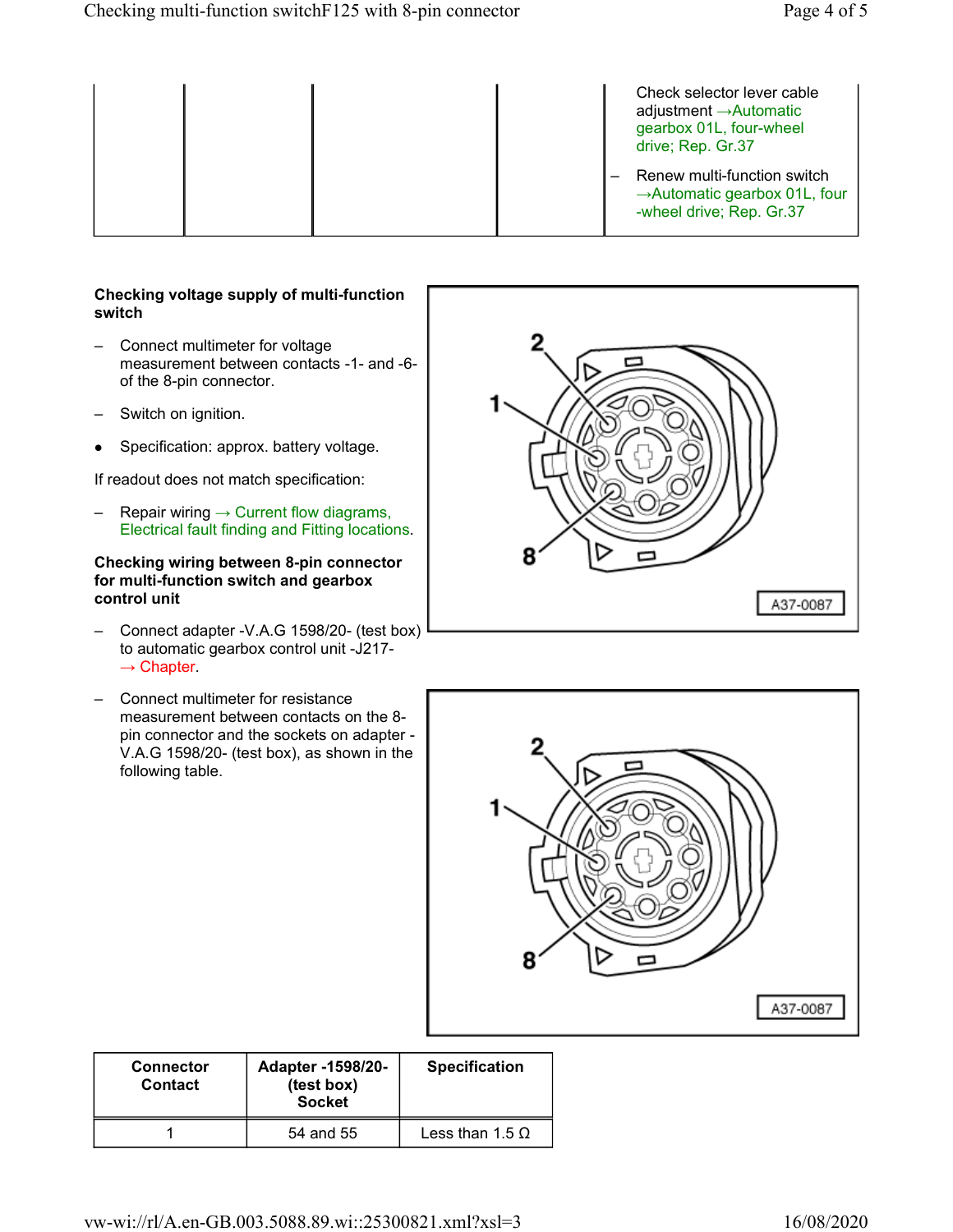|  |  | Check selector lever cable<br>adjustment $\rightarrow$ Automatic<br>gearbox 01L, four-wheel<br>drive; Rep. Gr.37 |
|--|--|------------------------------------------------------------------------------------------------------------------|
|  |  | Renew multi-function switch<br>$\rightarrow$ Automatic gearbox 01L, four<br>-wheel drive; Rep. Gr.37             |

#### **Checking voltage supply of multi-function switch**

- Connect multimeter for voltage measurement between contacts -1- and -6 of the 8-pin connector.
- Switch on ignition.
- $\bullet$ Specification: approx. battery voltage.

If readout does not match specification:

 $-$  Repair wiring  $\rightarrow$  Current flow diagrams, Electrical fault finding and Fitting locations.

#### **Checking wiring between 8-pin connector for multi-function switch and gearbox control unit**

- Connect adapter -V.A.G 1598/20- (test box) to automatic gearbox control unit -J217-  $\rightarrow$  Chapter.
- Connect multimeter for resistance measurement between contacts on the 8 pin connector and the sockets on adapter - V.A.G 1598/20- (test box), as shown in the following table.





| Adapter -1598/20-<br><b>Connector</b><br>(test box)<br><b>Contact</b><br><b>Socket</b> |           | <b>Specification</b>   |
|----------------------------------------------------------------------------------------|-----------|------------------------|
|                                                                                        | 54 and 55 | Less than $1.5 \Omega$ |